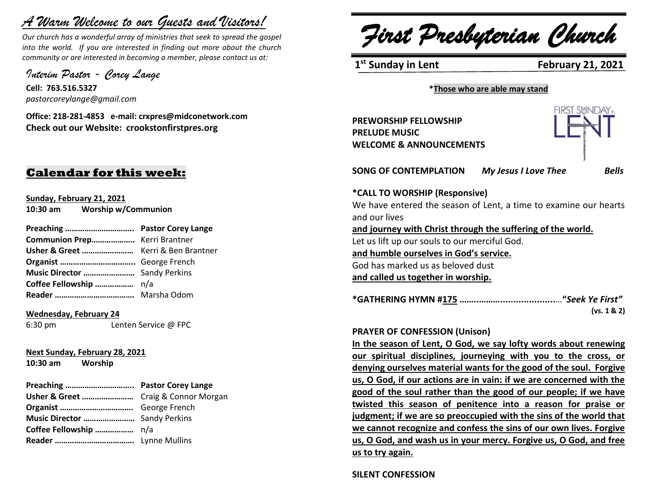# *A Warm Welcome to our Guests and Visitors!*

*Our church has a wonderful array of ministries that seek to spread the gospel into the world. If you are interested in finding out more about the church community or are interested in becoming a member, please contact us at:*

*Interim Pastor - Corey Lange*

**Cell: 763.516.5327** *pastorcoreylange@gmail.com*

**Office: 218-281-4853 e-mail: crxpres@midconetwork.com Check out our Website: crookstonfirstpres.org**

# **Calendar for this week:**

**Sunday, February 21, 2021 10:30 am Worship w/Communion**

| Communion Prep Kerri Brantner |  |
|-------------------------------|--|
|                               |  |
|                               |  |
| Music Director  Sandy Perkins |  |
|                               |  |
|                               |  |

#### **Wednesday, February 24**

6:30 pm Lenten Service @ FPC

**Next Sunday, February 28, 2021 10:30 am Worship** 

**Preaching ………………………….. Pastor Corey Lange**

| Music Director  Sandy Perkins |  |
|-------------------------------|--|
|                               |  |
|                               |  |
|                               |  |

*First Presbyterian Church*

1<sup>st</sup> Sunday in Lent February 21, 2021

FIRST SMNDAY<sub>IN</sub>

**\*Those who are able may stand**

**PREWORSHIP FELLOWSHIP PRELUDE MUSIC WELCOME & ANNOUNCEMENTS**

**SONG OF CONTEMPLATION** *My Jesus I Love Thee Bells*

#### **\*CALL TO WORSHIP (Responsive)**

We have entered the season of Lent, a time to examine our hearts and our lives

**and journey with Christ through the suffering of the world.**

Let us lift up our souls to our merciful God.

**and humble ourselves in God's service.** God has marked us as beloved dust **and called us together in worship.**

**\*GATHERING HYMN #175 ……..……….....................**…**"***Seek Ye First"*  **(vs. 1 & 2)**

#### **PRAYER OF CONFESSION (Unison)**

**In the season of Lent, O God, we say lofty words about renewing our spiritual disciplines, journeying with you to the cross, or denying ourselves material wants for the good of the soul. Forgive us, O God, if our actions are in vain: if we are concerned with the good of the soul rather than the good of our people; if we have twisted this season of penitence into a reason for praise or judgment; if we are so preoccupied with the sins of the world that we cannot recognize and confess the sins of our own lives. Forgive us, O God, and wash us in your mercy. Forgive us, O God, and free us to try again.**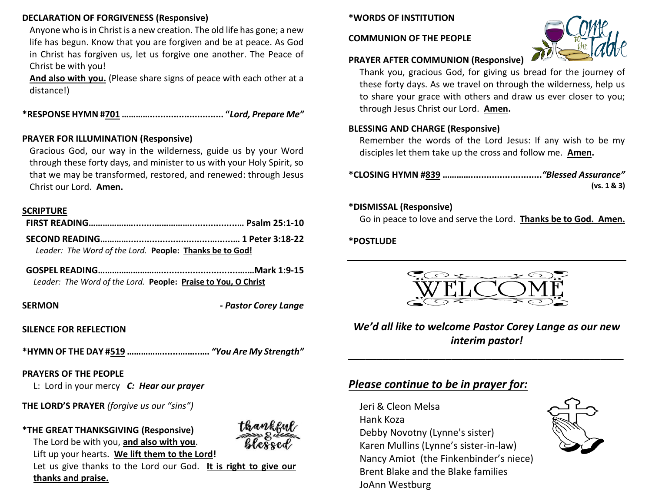# **DECLARATION OF FORGIVENESS (Responsive)**

Anyone who is in Christ is a new creation. The old life has gone; a new life has begun. Know that you are forgiven and be at peace. As God in Christ has forgiven us, let us forgive one another. The Peace of Christ be with you!

**And also with you.** (Please share signs of peace with each other at a distance!)

**\*RESPONSE HYMN #701 …………............................ "***Lord, Prepare Me"*

# **PRAYER FOR ILLUMINATION (Responsive)**

Gracious God, our way in the wilderness, guide us by your Word through these forty days, and minister to us with your Holy Spirit, so that we may be transformed, restored, and renewed: through Jesus Christ our Lord. **Amen.**

### **SCRIPTURE**

| Leader: The Word of the Lord. People: Thanks be to God! |  |
|---------------------------------------------------------|--|

**GOSPEL READING……………………….............................….…Mark 1:9-15** *Leader: The Word of the Lord.* **People: Praise to You, O Christ**

**SERMON -** *Pastor Corey Lange*

# **SILENCE FOR REFLECTION**

**\*HYMN OF THE DAY #519 ……………......….…..….** *"You Are My Strength"*

#### **PRAYERS OF THE PEOPLE**

L: Lord in your mercy *C: Hear our prayer*

**THE LORD'S PRAYER** *(forgive us our "sins")* 

# **\*THE GREAT THANKSGIVING (Responsive)**



The Lord be with you, **and also with you**. Lift up your hearts. **We lift them to the Lord!** 

Let us give thanks to the Lord our God. **It is right to give our thanks and praise.**

# **\*WORDS OF INSTITUTION**

#### **COMMUNION OF THE PEOPLE**



# **PRAYER AFTER COMMUNION (Responsive)**

Thank you, gracious God, for giving us bread for the journey of these forty days. As we travel on through the wilderness, help us to share your grace with others and draw us ever closer to you; through Jesus Christ our Lord. **Amen.**

# **BLESSING AND CHARGE (Responsive)**

Remember the words of the Lord Jesus: If any wish to be my disciples let them take up the cross and follow me. **Amen.**

| (vs. 1 & 3) |
|-------------|

#### **\*DISMISSAL (Responsive)**

Go in peace to love and serve the Lord. **Thanks be to God. Amen.**

### **\*POSTLUDE**



*We'd all like to welcome Pastor Corey Lange as our new interim pastor!*

*\_\_\_\_\_\_\_\_\_\_\_\_\_\_\_\_\_\_\_\_\_\_\_\_\_\_\_\_\_\_\_\_\_\_\_\_\_\_\_\_\_\_\_\_\_\_\_\_*

# *Please continue to be in prayer for:*

Jeri & Cleon Melsa Hank Koza Debby Novotny (Lynne's sister) Karen Mullins (Lynne's sister-in-law) Nancy Amiot (the Finkenbinder's niece) Brent Blake and the Blake families JoAnn Westburg

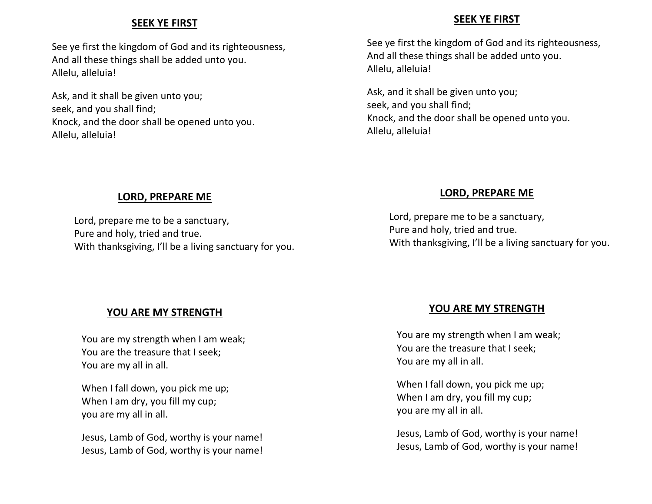# **SEEK YE FIRST**

See ye first the kingdom of God and its righteousness, And all these things shall be added unto you. Allelu, alleluia!

Ask, and it shall be given unto you; seek, and you shall find; Knock, and the door shall be opened unto you. Allelu, alleluia!

# **LORD, PREPARE ME**

Lord, prepare me to be a sanctuary, Pure and holy, tried and true. With thanksgiving, I'll be a living sanctuary for you.

# **SEEK YE FIRST**

See ye first the kingdom of God and its righteousness, And all these things shall be added unto you. Allelu, alleluia!

Ask, and it shall be given unto you; seek, and you shall find; Knock, and the door shall be opened unto you. Allelu, alleluia!

# **LORD, PREPARE ME**

Lord, prepare me to be a sanctuary, Pure and holy, tried and true. With thanksgiving, I'll be a living sanctuary for you.

# **YOU ARE MY STRENGTH**

You are my strength when I am weak; You are the treasure that I seek; You are my all in all.

When I fall down, you pick me up; When I am dry, you fill my cup; you are my all in all.

Jesus, Lamb of God, worthy is your name! Jesus, Lamb of God, worthy is your name!

# **YOU ARE MY STRENGTH**

You are my strength when I am weak; You are the treasure that I seek; You are my all in all.

When I fall down, you pick me up; When I am dry, you fill my cup; you are my all in all.

Jesus, Lamb of God, worthy is your name! Jesus, Lamb of God, worthy is your name!